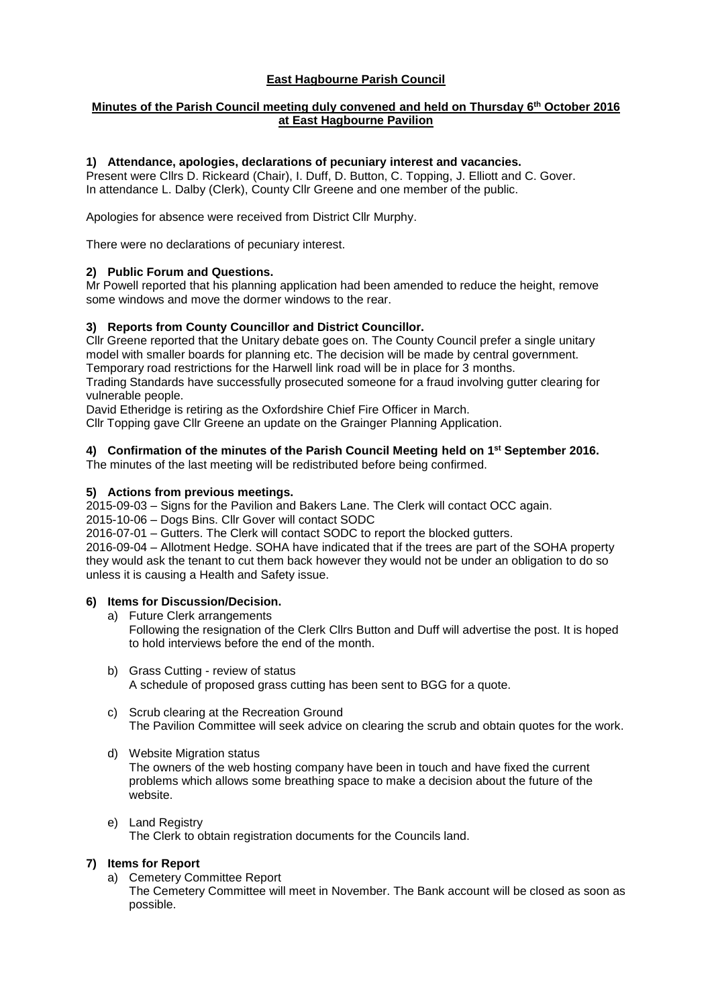## **East Hagbourne Parish Council**

## **Minutes of the Parish Council meeting duly convened and held on Thursday 6th October 2016 at East Hagbourne Pavilion**

### **1) Attendance, apologies, declarations of pecuniary interest and vacancies.**

Present were Cllrs D. Rickeard (Chair), I. Duff, D. Button, C. Topping, J. Elliott and C. Gover. In attendance L. Dalby (Clerk), County Cllr Greene and one member of the public.

Apologies for absence were received from District Cllr Murphy.

There were no declarations of pecuniary interest.

#### **2) Public Forum and Questions.**

Mr Powell reported that his planning application had been amended to reduce the height, remove some windows and move the dormer windows to the rear.

#### **3) Reports from County Councillor and District Councillor.**

Cllr Greene reported that the Unitary debate goes on. The County Council prefer a single unitary model with smaller boards for planning etc. The decision will be made by central government. Temporary road restrictions for the Harwell link road will be in place for 3 months.

Trading Standards have successfully prosecuted someone for a fraud involving gutter clearing for vulnerable people.

David Etheridge is retiring as the Oxfordshire Chief Fire Officer in March.

Cllr Topping gave Cllr Greene an update on the Grainger Planning Application.

## **4) Confirmation of the minutes of the Parish Council Meeting held on 1 st September 2016.**

The minutes of the last meeting will be redistributed before being confirmed.

#### **5) Actions from previous meetings.**

2015-09-03 – Signs for the Pavilion and Bakers Lane. The Clerk will contact OCC again.

2015-10-06 – Dogs Bins. Cllr Gover will contact SODC

2016-07-01 – Gutters. The Clerk will contact SODC to report the blocked gutters.

2016-09-04 – Allotment Hedge. SOHA have indicated that if the trees are part of the SOHA property they would ask the tenant to cut them back however they would not be under an obligation to do so unless it is causing a Health and Safety issue.

## **6) Items for Discussion/Decision.**

- a) Future Clerk arrangements Following the resignation of the Clerk Cllrs Button and Duff will advertise the post. It is hoped to hold interviews before the end of the month.
- b) Grass Cutting review of status A schedule of proposed grass cutting has been sent to BGG for a quote.
- c) Scrub clearing at the Recreation Ground The Pavilion Committee will seek advice on clearing the scrub and obtain quotes for the work.
- d) Website Migration status

The owners of the web hosting company have been in touch and have fixed the current problems which allows some breathing space to make a decision about the future of the website.

e) Land Registry The Clerk to obtain registration documents for the Councils land.

## **7) Items for Report**

a) Cemetery Committee Report

The Cemetery Committee will meet in November. The Bank account will be closed as soon as possible.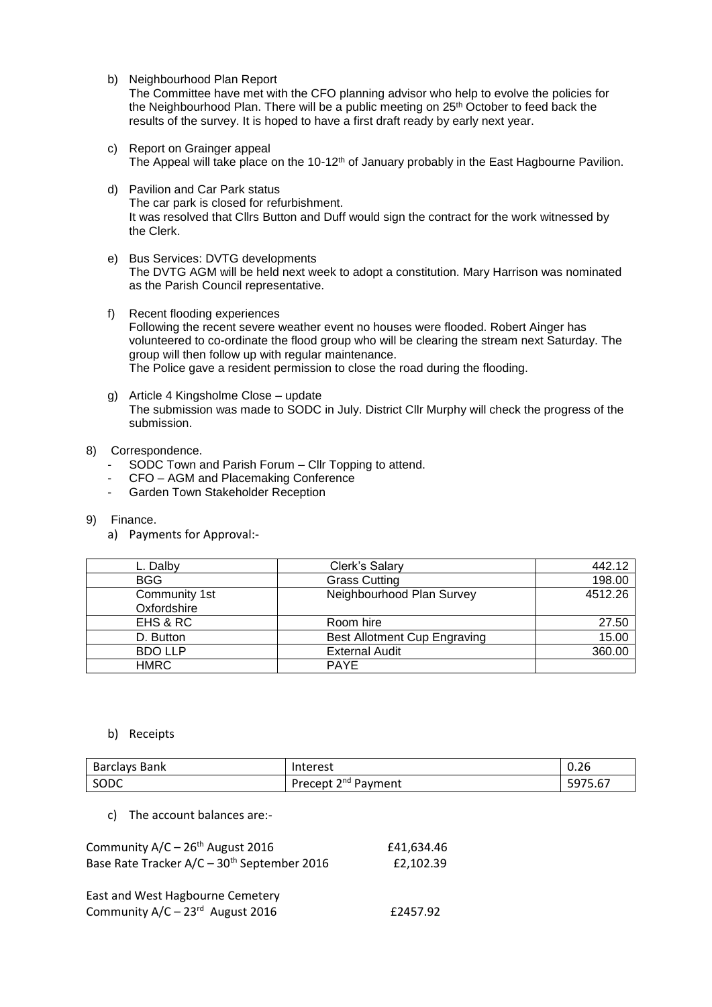b) Neighbourhood Plan Report

The Committee have met with the CFO planning advisor who help to evolve the policies for the Neighbourhood Plan. There will be a public meeting on 25<sup>th</sup> October to feed back the results of the survey. It is hoped to have a first draft ready by early next year.

- c) Report on Grainger appeal The Appeal will take place on the 10-12<sup>th</sup> of January probably in the East Hagbourne Pavilion.
- d) Pavilion and Car Park status The car park is closed for refurbishment. It was resolved that Cllrs Button and Duff would sign the contract for the work witnessed by the Clerk.
- e) Bus Services: DVTG developments The DVTG AGM will be held next week to adopt a constitution. Mary Harrison was nominated as the Parish Council representative.
- f) Recent flooding experiences Following the recent severe weather event no houses were flooded. Robert Ainger has volunteered to co-ordinate the flood group who will be clearing the stream next Saturday. The group will then follow up with regular maintenance. The Police gave a resident permission to close the road during the flooding.
- g) Article 4 Kingsholme Close update The submission was made to SODC in July. District Cllr Murphy will check the progress of the submission.

## 8) Correspondence.

- SODC Town and Parish Forum Cllr Topping to attend.
- CFO AGM and Placemaking Conference
- Garden Town Stakeholder Reception
- 9) Finance.
	- a) Payments for Approval:-

| L. Dalby       | Clerk's Salary                      | 442.12  |
|----------------|-------------------------------------|---------|
| <b>BGG</b>     | <b>Grass Cutting</b>                | 198.00  |
| Community 1st  | Neighbourhood Plan Survey           | 4512.26 |
| Oxfordshire    |                                     |         |
| EHS & RC       | Room hire                           | 27.50   |
| D. Button      | <b>Best Allotment Cup Engraving</b> | 15.00   |
| <b>BDO LLP</b> | <b>External Audit</b>               | 360.00  |
| <b>HMRC</b>    | <b>PAYE</b>                         |         |

#### b) Receipts

| Barclays Bank | Interest                                      | $\sim$<br>$\sim$<br>U.Zb |
|---------------|-----------------------------------------------|--------------------------|
| SODC          | : 2 <sup>nd</sup> Payment<br>Precept $\angle$ | 5.67<br>5975.            |

c) The account balances are:-

| Community $A/C - 26th$ August 2016                      | £41.634.46 |
|---------------------------------------------------------|------------|
| Base Rate Tracker A/C - 30 <sup>th</sup> September 2016 | £2.102.39  |
|                                                         |            |
| East and West Hagbourne Cemetery                        |            |
| Community A/C - 23rd August 2016                        | £2457.92   |